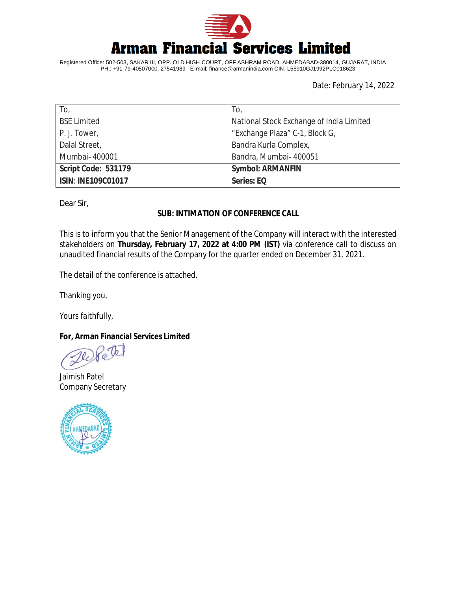

Registered Office: 502-503, SAKAR III, OPP. OLD HIGH COURT, OFF ASHRAM ROAD, AHMEDABAD-380014, GUJARAT, INDIA PH.: +91-79-40507000, 27541989 E-mail: [finance@armanindia.com](mailto:finance@armanindia.com) CIN: L55910GJ1992PLC018623

Date: February 14, 2022

| To,                       | To,                                      |
|---------------------------|------------------------------------------|
| <b>BSE Limited</b>        | National Stock Exchange of India Limited |
| P. J. Tower,              | "Exchange Plaza" C-1, Block G,           |
| Dalal Street,             | Bandra Kurla Complex,                    |
| Mumbai-400001             | Bandra, Mumbai- 400051                   |
| Script Code: 531179       | <b>Symbol: ARMANFIN</b>                  |
| <b>ISIN: INE109C01017</b> | Series: EQ                               |

Dear Sir,

## **SUB: INTIMATION OF CONFERENCE CALL**

This is to inform you that the Senior Management of the Company will interact with the interested stakeholders on **Thursday, February 17, 2022 at 4:00 PM (IST)** via conference call to discuss on unaudited financial results of the Company for the quarter ended on December 31, 2021.

The detail of the conference is attached.

Thanking you,

Yours faithfully,

**For, Arman Financial Services Limited**

Te

Jaimish Patel Company Secretary